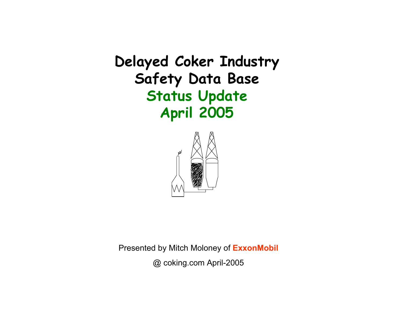**Delayed Coker Industry Safety Data Base Status Update April 2005**



Presented by Mitch Moloney of **ExxonMobil**

@ coking.com April-2005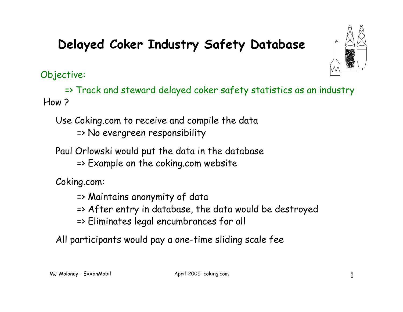Objective:

=> Track and steward delayed coker safety statistics as an industry How ?

Use Coking.com to receive and compile the data => No evergreen responsibility

Paul Orlowski would put the data in the database

=> Example on the coking.com website

Coking.com:

- => Maintains anonymity of data
- => After entry in database, the data would be destroyed
- => Eliminates legal encumbrances for all

All participants would pay a one-time sliding scale fee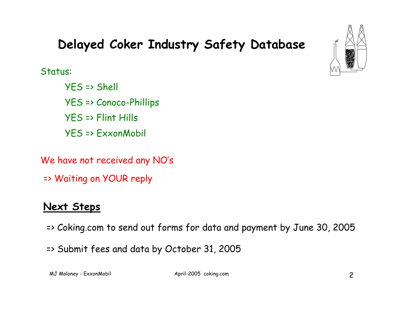

Status:

YES => Shell YES => Conoco-Phillips YES => Flint Hills YES => ExxonMobil

We have not received any NO's

=> Waiting on YOUR reply

### **Next Steps**

=> Coking.com to send out forms for data and payment by June 30, 2005

=> Submit fees and data by October 31, 2005

MJ Moloney - ExxonMobil and April-2005 coking.com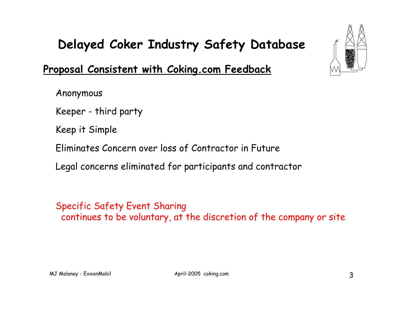#### **Proposal Consistent with Coking.com Feedback**

Anonymous

Keeper - third party

Keep it Simple

Eliminates Concern over loss of Contractor in Future

Legal concerns eliminated for participants and contractor

Specific Safety Event Sharing continues to be voluntary, at the discretion of the company or site

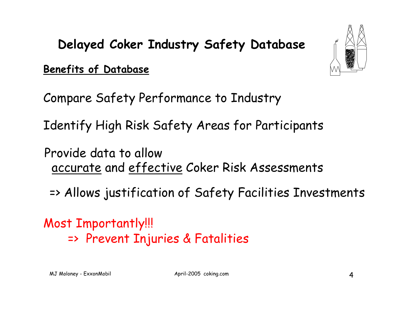**Benefits of Database**



Compare Safety Performance to Industry

Identify High Risk Safety Areas for Participants

Provide data to allow accurate and effective Coker Risk Assessments

=> Allows justification of Safety Facilities Investments

Most Importantly!!! => Prevent Injuries & Fatalities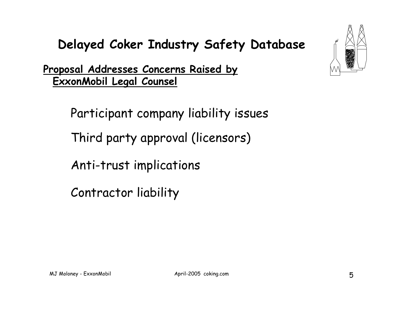**Proposal Addresses Concerns Raised by ExxonMobil Legal Counsel**

Participant company liability issues

Third party approval (licensors)

Anti-trust implications

Contractor liability

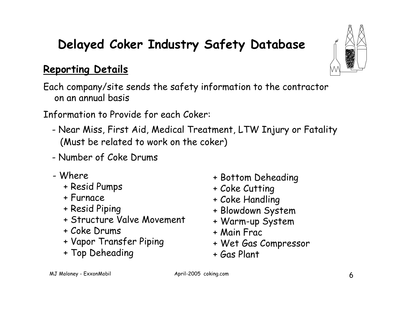#### **Reporting Details**

Each company/site sends the safety information to the contractor on an annual basis

Information to Provide for each Coker:

- - Near Miss, First Aid, Medical Treatment, LTW Injury or Fatality (Must be related to work on the coker)
- Number of Coke Drums
- Where
	- + Resid Pumps
	- + Furnace
	- + Resid Piping
	- + Structure Valve Movement
	- + Coke Drums
	- + Vapor Transfer Piping
	- + Top Deheading
- + Bottom Deheading
- + Coke Cutting
- + Coke Handling
- + Blowdown System
- + Warm-up System
- + Main Frac
- + Wet Gas Compressor
- + Gas Plant

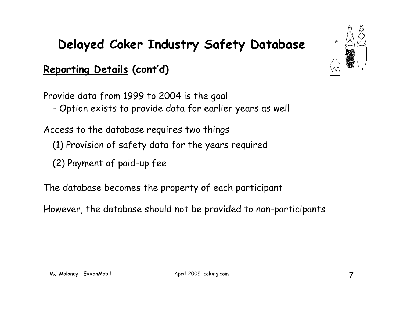### **Reporting Details (cont'd)**

Provide data from 1999 to 2004 is the goal

-Option exists to provide data for earlier years as well

Access to the database requires two things

- (1) Provision of safety data for the years required
- (2) Payment of paid-up fee
- The database becomes the property of each participant
- However, the database should not be provided to non-participants

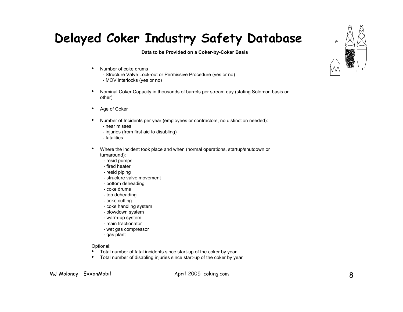**Data to be Provided on a Coker-by-Coker Basis**

- Number of coke drums
	- Structure Valve Lock-out or Permissive Procedure (yes or no) - MOV interlocks (yes or no)
- Nominal Coker Capacity in thousands of barrels per stream day (stating Solomon basis or other)
- Age of Coker
- Number of Incidents per year (employees or contractors, no distinction needed):
	- near misses
	- injuries (from first aid to disabling)
	- fatalities
- Where the incident took place and when (normal operations, startup/shutdown or turnaround):
	- resid pumps
	- fired heater
	- resid piping
	- structure valve movement
	- bottom deheading
	- coke drums
	- top deheading
	- coke cutting
	- coke handling system
	- blowdown system
	- warm-up system
	- main fractionator
	- wet gas compressor
	- gas plant

Optional:

- Total number of fatal incidents since start-up of the coker by year
- Total number of disabling injuries since start-up of the coker by year

MJ Moloney - ExxonMobil and April-2005 coking.com

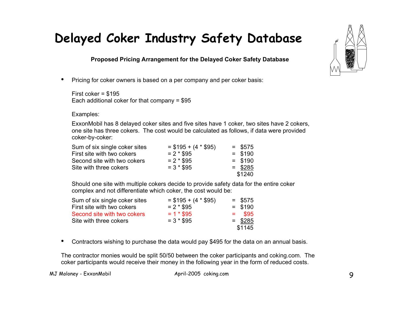**Proposed Pricing Arrangement for the Delayed Coker Safety Database**

• Pricing for coker owners is based on a per company and per coker basis:

First coker = \$195 Each additional coker for that company = \$95

Examples:

ExxonMobil has 8 delayed coker sites and five sites have 1 coker, two sites have 2 cokers, one site has three cokers. The cost would be calculated as follows, if data were provided coker-by-coker:

| $= $195 + (4 * $95)$ | $=$ \$575 |
|----------------------|-----------|
| $= 2 * $95$          | $=$ \$190 |
| $= 2 * $95$          | $=$ \$190 |
| $= 3 * $95$          | $=$ \$285 |
|                      | \$1240    |
|                      |           |

Should one site with multiple cokers decide to provide safety data for the entire coker complex and not differentiate which coker, the cost would be:

| Sum of six single coker sites | $=$ \$195 + (4 $*$ \$95) | $=$ \$575 |
|-------------------------------|--------------------------|-----------|
| First site with two cokers    | $= 2 * $95$              | $=$ \$190 |
| Second site with two cokers   | $= 1 * $95$              | $=$ \$95  |
| Site with three cokers        | $= 3 * $95$              | $=$ \$285 |
|                               |                          | \$1145    |

• Contractors wishing to purchase the data would pay \$495 for the data on an annual basis.

The contractor monies would be split 50/50 between the coker participants and coking.com. The coker participants would receive their money in the following year in the form of reduced costs.

MJ Moloney - ExxonMobil April-2005 coking.com

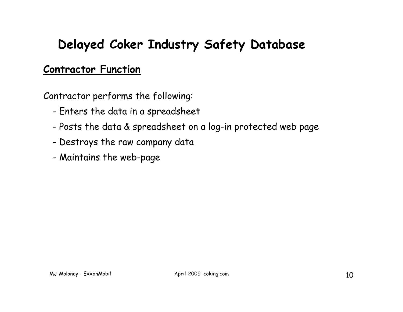#### **Contractor Function**

Contractor performs the following:

- -Enters the data in a spreadsheet
- -Posts the data & spreadsheet on a log-in protected web page
- -Destroys the raw company data
- -Maintains the web-page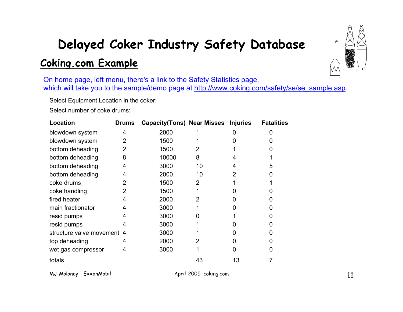# **Delayed Coker Industry Safety Database Coking.com Example**



On home page, left menu, there's a link to the Safety Statistics page, which will take you to the sample/demo page at http://www.coking.com/safety/se/se\_sample.asp.

Select Equipment Location in the coker:

Select number of coke drums:

| Location                   | <b>Drums</b> | <b>Capacity(Tons) Near Misses Injuries</b> |                |    | <b>Fatalities</b> |
|----------------------------|--------------|--------------------------------------------|----------------|----|-------------------|
| blowdown system            | 4            | 2000                                       |                |    |                   |
| blowdown system            | 2            | 1500                                       |                |    |                   |
| bottom deheading           | 2            | 1500                                       | 2              |    |                   |
| bottom deheading           | 8            | 10000                                      | 8              |    |                   |
| bottom deheading           | 4            | 3000                                       | 10             | 4  |                   |
| bottom deheading           | 4            | 2000                                       | 10             | 2  |                   |
| coke drums                 |              | 1500                                       | 2              |    |                   |
| coke handling              |              | 1500                                       |                |    |                   |
| fired heater               | 4            | 2000                                       | $\overline{2}$ |    |                   |
| main fractionator          |              | 3000                                       |                |    |                   |
| resid pumps                |              | 3000                                       |                |    |                   |
| resid pumps                |              | 3000                                       |                |    |                   |
| structure valve movement 4 |              | 3000                                       |                |    |                   |
| top deheading              |              | 2000                                       |                |    |                   |
| wet gas compressor         | 4            | 3000                                       |                |    |                   |
| totals                     |              |                                            | 43             | 13 |                   |

MJ Moloney - ExxonMobil **April-2005** coking.com **11**